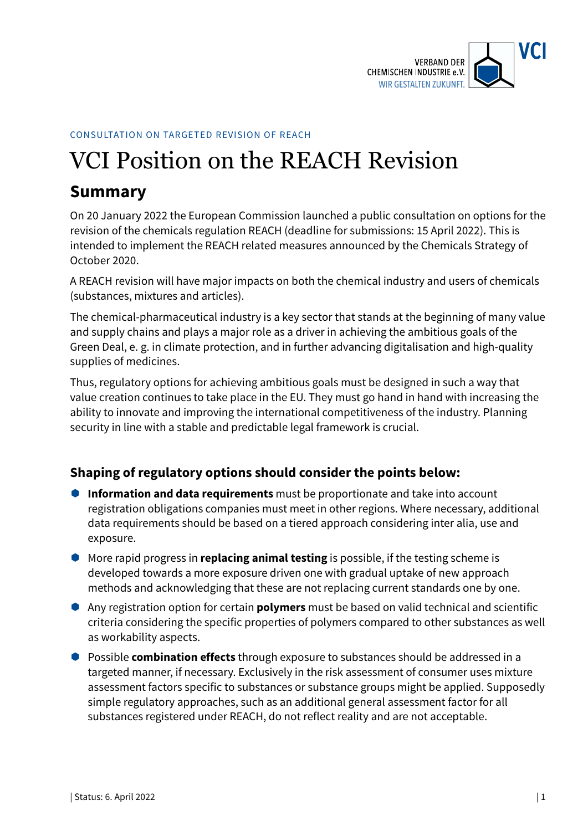

#### CONSULTATION ON TARGETED REVISION OF REACH

# VCI Position on the REACH Revision

# **Summary**

On 20 January 2022 the European Commission launched a public consultation on options for the revision of the chemicals regulation REACH (deadline for submissions: 15 April 2022). This is intended to implement the REACH related measures announced by the Chemicals Strategy of October 2020.

A REACH revision will have major impacts on both the chemical industry and users of chemicals (substances, mixtures and articles).

The chemical-pharmaceutical industry is a key sector that stands at the beginning of many value and supply chains and plays a major role as a driver in achieving the ambitious goals of the Green Deal, e. g. in climate protection, and in further advancing digitalisation and high-quality supplies of medicines.

Thus, regulatory options for achieving ambitious goals must be designed in such a way that value creation continues to take place in the EU. They must go hand in hand with increasing the ability to innovate and improving the international competitiveness of the industry. Planning security in line with a stable and predictable legal framework is crucial.

### **Shaping of regulatory options should consider the points below:**

- **Information and data requirements** must be proportionate and take into account registration obligations companies must meet in other regions. Where necessary, additional data requirements should be based on a tiered approach considering inter alia, use and exposure.
- More rapid progress in **replacing animal testing** is possible, if the testing scheme is developed towards a more exposure driven one with gradual uptake of new approach methods and acknowledging that these are not replacing current standards one by one.
- Any registration option for certain **polymers** must be based on valid technical and scientific criteria considering the specific properties of polymers compared to other substances as well as workability aspects.
- Possible **combination effects** through exposure to substances should be addressed in a targeted manner, if necessary. Exclusively in the risk assessment of consumer uses mixture assessment factors specific to substances or substance groups might be applied. Supposedly simple regulatory approaches, such as an additional general assessment factor for all substances registered under REACH, do not reflect reality and are not acceptable.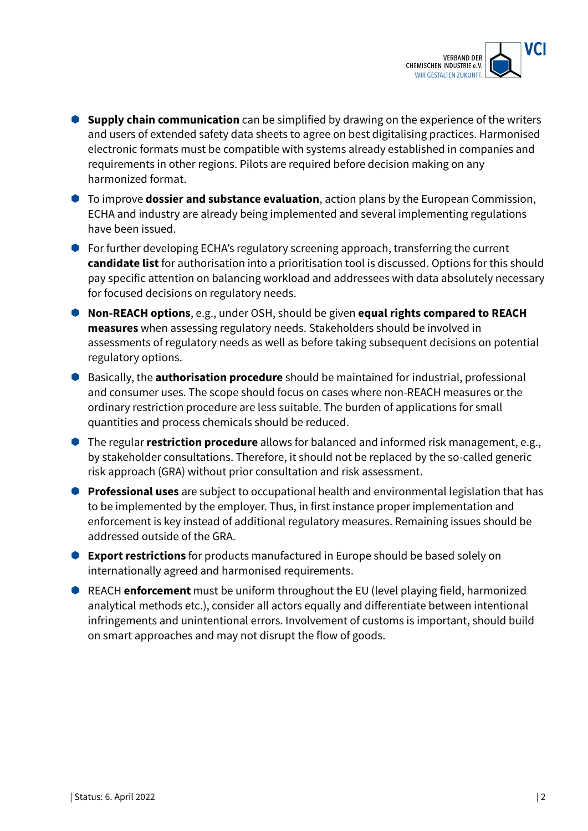

- **Supply chain communication** can be simplified by drawing on the experience of the writers and users of extended safety data sheets to agree on best digitalising practices. Harmonised electronic formats must be compatible with systems already established in companies and requirements in other regions. Pilots are required before decision making on any harmonized format.
- To improve **dossier and substance evaluation**, action plans by the European Commission, ECHA and industry are already being implemented and several implementing regulations have been issued.
- For further developing ECHA's regulatory screening approach, transferring the current **candidate list** for authorisation into a prioritisation tool is discussed. Options for this should pay specific attention on balancing workload and addressees with data absolutely necessary for focused decisions on regulatory needs.
- **Non-REACH options**, e.g., under OSH, should be given **equal rights compared to REACH measures** when assessing regulatory needs. Stakeholders should be involved in assessments of regulatory needs as well as before taking subsequent decisions on potential regulatory options.
- Basically, the **authorisation procedure** should be maintained for industrial, professional and consumer uses. The scope should focus on cases where non-REACH measures or the ordinary restriction procedure are less suitable. The burden of applications for small quantities and process chemicals should be reduced.
- The regular **restriction procedure** allows for balanced and informed risk management, e.g., by stakeholder consultations. Therefore, it should not be replaced by the so-called generic risk approach (GRA) without prior consultation and risk assessment.
- **Professional uses** are subject to occupational health and environmental legislation that has to be implemented by the employer. Thus, in first instance proper implementation and enforcement is key instead of additional regulatory measures. Remaining issues should be addressed outside of the GRA.
- **Export restrictions** for products manufactured in Europe should be based solely on internationally agreed and harmonised requirements.
- REACH **enforcement** must be uniform throughout the EU (level playing field, harmonized analytical methods etc.), consider all actors equally and differentiate between intentional infringements and unintentional errors. Involvement of customs is important, should build on smart approaches and may not disrupt the flow of goods.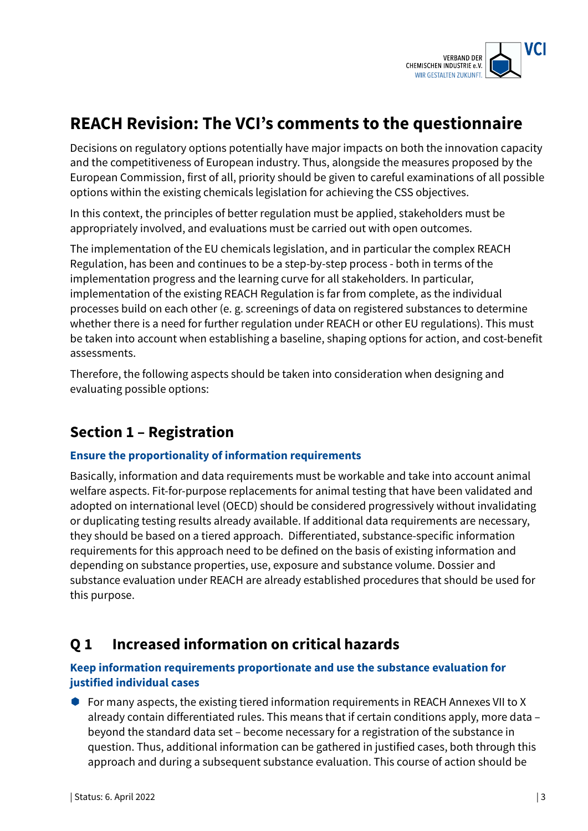

# **REACH Revision: The VCI's comments to the questionnaire**

Decisions on regulatory options potentially have major impacts on both the innovation capacity and the competitiveness of European industry. Thus, alongside the measures proposed by the European Commission, first of all, priority should be given to careful examinations of all possible options within the existing chemicals legislation for achieving the CSS objectives.

In this context, the principles of better regulation must be applied, stakeholders must be appropriately involved, and evaluations must be carried out with open outcomes.

The implementation of the EU chemicals legislation, and in particular the complex REACH Regulation, has been and continues to be a step-by-step process - both in terms of the implementation progress and the learning curve for all stakeholders. In particular, implementation of the existing REACH Regulation is far from complete, as the individual processes build on each other (e. g. screenings of data on registered substances to determine whether there is a need for further regulation under REACH or other EU regulations). This must be taken into account when establishing a baseline, shaping options for action, and cost-benefit assessments.

Therefore, the following aspects should be taken into consideration when designing and evaluating possible options:

# **Section 1 – Registration**

### **Ensure the proportionality of information requirements**

Basically, information and data requirements must be workable and take into account animal welfare aspects. Fit-for-purpose replacements for animal testing that have been validated and adopted on international level (OECD) should be considered progressively without invalidating or duplicating testing results already available. If additional data requirements are necessary, they should be based on a tiered approach. Differentiated, substance-specific information requirements for this approach need to be defined on the basis of existing information and depending on substance properties, use, exposure and substance volume. Dossier and substance evaluation under REACH are already established procedures that should be used for this purpose.

# **Q 1 Increased information on critical hazards**

### **Keep information requirements proportionate and use the substance evaluation for justified individual cases**

 For many aspects, the existing tiered information requirements in REACH Annexes VII to X already contain differentiated rules. This means that if certain conditions apply, more data – beyond the standard data set – become necessary for a registration of the substance in question. Thus, additional information can be gathered in justified cases, both through this approach and during a subsequent substance evaluation. This course of action should be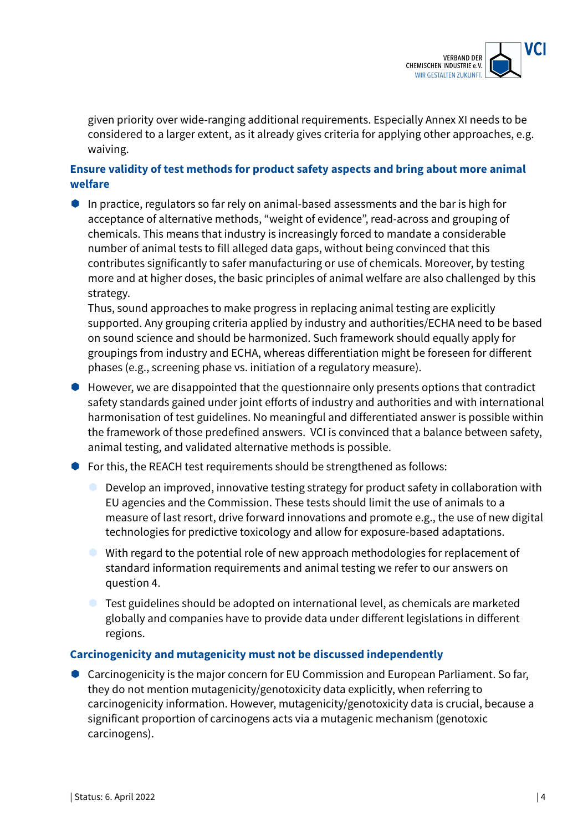

given priority over wide-ranging additional requirements. Especially Annex XI needs to be considered to a larger extent, as it already gives criteria for applying other approaches, e.g. waiving.

### **Ensure validity of test methods for product safety aspects and bring about more animal welfare**

In practice, regulators so far rely on animal-based assessments and the bar is high for acceptance of alternative methods, "weight of evidence", read-across and grouping of chemicals. This means that industry is increasingly forced to mandate a considerable number of animal tests to fill alleged data gaps, without being convinced that this contributes significantly to safer manufacturing or use of chemicals. Moreover, by testing more and at higher doses, the basic principles of animal welfare are also challenged by this strategy.

Thus, sound approaches to make progress in replacing animal testing are explicitly supported. Any grouping criteria applied by industry and authorities/ECHA need to be based on sound science and should be harmonized. Such framework should equally apply for groupings from industry and ECHA, whereas differentiation might be foreseen for different phases (e.g., screening phase vs. initiation of a regulatory measure).

- However, we are disappointed that the questionnaire only presents options that contradict safety standards gained under joint efforts of industry and authorities and with international harmonisation of test guidelines. No meaningful and differentiated answer is possible within the framework of those predefined answers. VCI is convinced that a balance between safety, animal testing, and validated alternative methods is possible.
- For this, the REACH test requirements should be strengthened as follows:
	- Develop an improved, innovative testing strategy for product safety in collaboration with EU agencies and the Commission. These tests should limit the use of animals to a measure of last resort, drive forward innovations and promote e.g., the use of new digital technologies for predictive toxicology and allow for exposure-based adaptations.
	- With regard to the potential role of new approach methodologies for replacement of standard information requirements and animal testing we refer to our answers on question 4.
	- **Test guidelines should be adopted on international level, as chemicals are marketed** globally and companies have to provide data under different legislations in different regions.

#### **Carcinogenicity and mutagenicity must not be discussed independently**

● Carcinogenicity is the major concern for EU Commission and European Parliament. So far, they do not mention mutagenicity/genotoxicity data explicitly, when referring to carcinogenicity information. However, mutagenicity/genotoxicity data is crucial, because a significant proportion of carcinogens acts via a mutagenic mechanism (genotoxic carcinogens).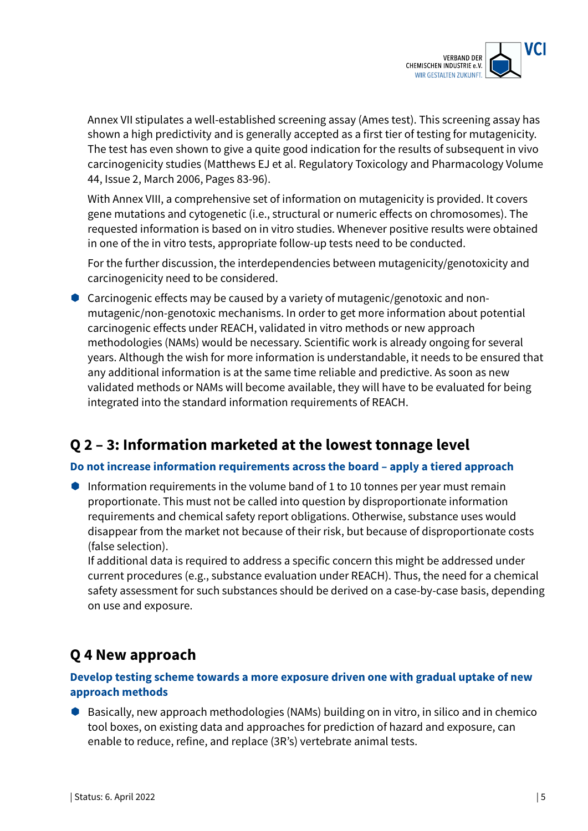

Annex VII stipulates a well-established screening assay (Ames test). This screening assay has shown a high predictivity and is generally accepted as a first tier of testing for mutagenicity. The test has even shown to give a quite good indication for the results of subsequent in vivo carcinogenicity studies (Matthews EJ et al. Regulatory Toxicology and Pharmacology Volume 44, Issue 2, March 2006, Pages 83-96).

With Annex VIII, a comprehensive set of information on mutagenicity is provided. It covers gene mutations and cytogenetic (i.e., structural or numeric effects on chromosomes). The requested information is based on in vitro studies. Whenever positive results were obtained in one of the in vitro tests, appropriate follow-up tests need to be conducted.

For the further discussion, the interdependencies between mutagenicity/genotoxicity and carcinogenicity need to be considered.

 Carcinogenic effects may be caused by a variety of mutagenic/genotoxic and nonmutagenic/non-genotoxic mechanisms. In order to get more information about potential carcinogenic effects under REACH, validated in vitro methods or new approach methodologies (NAMs) would be necessary. Scientific work is already ongoing for several years. Although the wish for more information is understandable, it needs to be ensured that any additional information is at the same time reliable and predictive. As soon as new validated methods or NAMs will become available, they will have to be evaluated for being integrated into the standard information requirements of REACH.

# **Q 2 – 3: Information marketed at the lowest tonnage level**

#### **Do not increase information requirements across the board – apply a tiered approach**

Information requirements in the volume band of 1 to 10 tonnes per year must remain proportionate. This must not be called into question by disproportionate information requirements and chemical safety report obligations. Otherwise, substance uses would disappear from the market not because of their risk, but because of disproportionate costs (false selection).

If additional data is required to address a specific concern this might be addressed under current procedures (e.g., substance evaluation under REACH). Thus, the need for a chemical safety assessment for such substances should be derived on a case-by-case basis, depending on use and exposure.

# **Q 4 New approach**

### **Develop testing scheme towards a more exposure driven one with gradual uptake of new approach methods**

● Basically, new approach methodologies (NAMs) building on in vitro, in silico and in chemico tool boxes, on existing data and approaches for prediction of hazard and exposure, can enable to reduce, refine, and replace (3R's) vertebrate animal tests.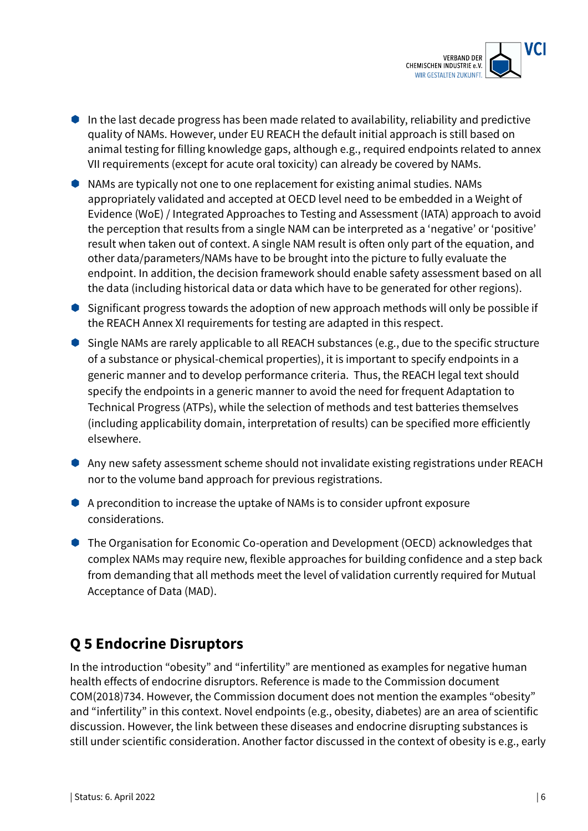

- $\bullet$  In the last decade progress has been made related to availability, reliability and predictive quality of NAMs. However, under EU REACH the default initial approach is still based on animal testing for filling knowledge gaps, although e.g., required endpoints related to annex VII requirements (except for acute oral toxicity) can already be covered by NAMs.
- NAMs are typically not one to one replacement for existing animal studies. NAMs appropriately validated and accepted at OECD level need to be embedded in a Weight of Evidence (WoE) / Integrated Approaches to Testing and Assessment (IATA) approach to avoid the perception that results from a single NAM can be interpreted as a 'negative' or 'positive' result when taken out of context. A single NAM result is often only part of the equation, and other data/parameters/NAMs have to be brought into the picture to fully evaluate the endpoint. In addition, the decision framework should enable safety assessment based on all the data (including historical data or data which have to be generated for other regions).
- Significant progress towards the adoption of new approach methods will only be possible if the REACH Annex XI requirements for testing are adapted in this respect.
- Single NAMs are rarely applicable to all REACH substances (e.g., due to the specific structure of a substance or physical-chemical properties), it is important to specify endpoints in a generic manner and to develop performance criteria. Thus, the REACH legal text should specify the endpoints in a generic manner to avoid the need for frequent Adaptation to Technical Progress (ATPs), while the selection of methods and test batteries themselves (including applicability domain, interpretation of results) can be specified more efficiently elsewhere.
- Any new safety assessment scheme should not invalidate existing registrations under REACH nor to the volume band approach for previous registrations.
- A precondition to increase the uptake of NAMs is to consider upfront exposure considerations.
- The Organisation for Economic Co-operation and Development (OECD) acknowledges that complex NAMs may require new, flexible approaches for building confidence and a step back from demanding that all methods meet the level of validation currently required for Mutual Acceptance of Data (MAD).

# **Q 5 Endocrine Disruptors**

In the introduction "obesity" and "infertility" are mentioned as examples for negative human health effects of endocrine disruptors. Reference is made to the Commission document COM(2018)734. However, the Commission document does not mention the examples "obesity" and "infertility" in this context. Novel endpoints (e.g., obesity, diabetes) are an area of scientific discussion. However, the link between these diseases and endocrine disrupting substances is still under scientific consideration. Another factor discussed in the context of obesity is e.g., early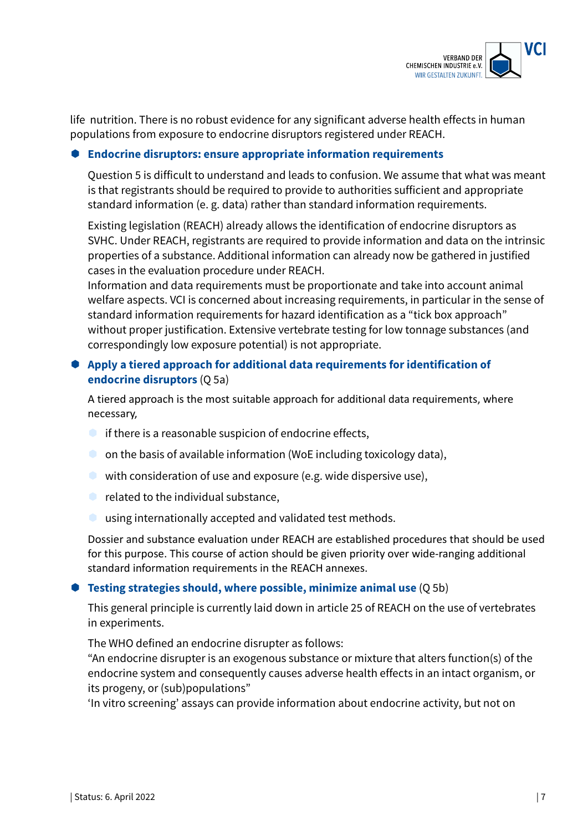

life nutrition. There is no robust evidence for any significant adverse health effects in human populations from exposure to endocrine disruptors registered under REACH.

#### **Endocrine disruptors: ensure appropriate information requirements**

Question 5 is difficult to understand and leads to confusion. We assume that what was meant is that registrants should be required to provide to authorities sufficient and appropriate standard information (e. g. data) rather than standard information requirements.

Existing legislation (REACH) already allows the identification of endocrine disruptors as SVHC. Under REACH, registrants are required to provide information and data on the intrinsic properties of a substance. Additional information can already now be gathered in justified cases in the evaluation procedure under REACH.

Information and data requirements must be proportionate and take into account animal welfare aspects. VCI is concerned about increasing requirements, in particular in the sense of standard information requirements for hazard identification as a "tick box approach" without proper justification. Extensive vertebrate testing for low tonnage substances (and correspondingly low exposure potential) is not appropriate.

#### **Apply a tiered approach for additional data requirements for identification of endocrine disruptors** (Q 5a)

A tiered approach is the most suitable approach for additional data requirements, where necessary,

- $\bullet$  if there is a reasonable suspicion of endocrine effects,
- $\bullet$  on the basis of available information (WoE including toxicology data),
- with consideration of use and exposure (e.g. wide dispersive use),
- $\bullet$  related to the individual substance,
- using internationally accepted and validated test methods.

Dossier and substance evaluation under REACH are established procedures that should be used for this purpose. This course of action should be given priority over wide-ranging additional standard information requirements in the REACH annexes.

#### **Testing strategies should, where possible, minimize animal use** (Q 5b)

This general principle is currently laid down in article 25 of REACH on the use of vertebrates in experiments.

The WHO defined an endocrine disrupter as follows:

"An endocrine disrupter is an exogenous substance or mixture that alters function(s) of the endocrine system and consequently causes adverse health effects in an intact organism, or its progeny, or (sub)populations"

'In vitro screening' assays can provide information about endocrine activity, but not on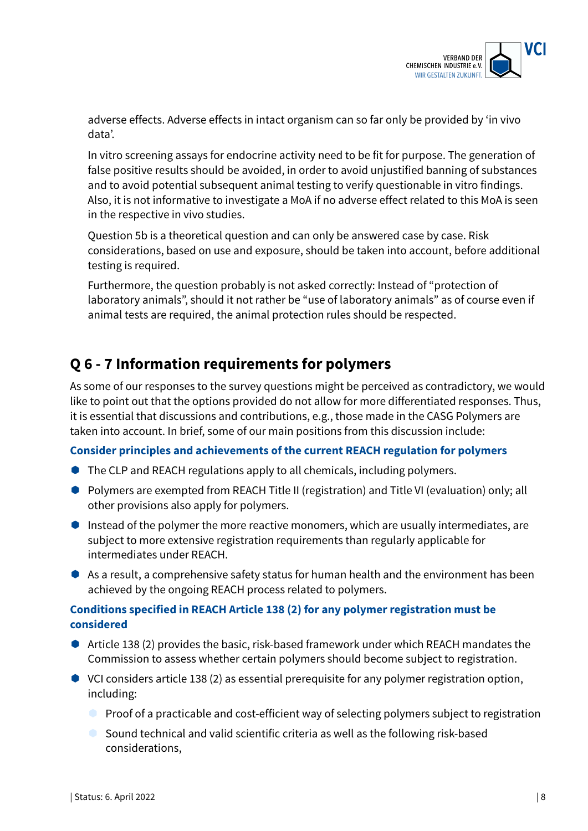

adverse effects. Adverse effects in intact organism can so far only be provided by 'in vivo data'.

In vitro screening assays for endocrine activity need to be fit for purpose. The generation of false positive results should be avoided, in order to avoid unjustified banning of substances and to avoid potential subsequent animal testing to verify questionable in vitro findings. Also, it is not informative to investigate a MoA if no adverse effect related to this MoA is seen in the respective in vivo studies.

Question 5b is a theoretical question and can only be answered case by case. Risk considerations, based on use and exposure, should be taken into account, before additional testing is required.

Furthermore, the question probably is not asked correctly: Instead of "protection of laboratory animals", should it not rather be "use of laboratory animals" as of course even if animal tests are required, the animal protection rules should be respected.

# **Q 6 - 7 Information requirements for polymers**

As some of our responses to the survey questions might be perceived as contradictory, we would like to point out that the options provided do not allow for more differentiated responses. Thus, it is essential that discussions and contributions, e.g., those made in the CASG Polymers are taken into account. In brief, some of our main positions from this discussion include:

#### **Consider principles and achievements of the current REACH regulation for polymers**

- The CLP and REACH regulations apply to all chemicals, including polymers.
- Polymers are exempted from REACH Title II (registration) and Title VI (evaluation) only; all other provisions also apply for polymers.
- Instead of the polymer the more reactive monomers, which are usually intermediates, are subject to more extensive registration requirements than regularly applicable for intermediates under REACH.
- As a result, a comprehensive safety status for human health and the environment has been achieved by the ongoing REACH process related to polymers.

### **Conditions specified in REACH Article 138 (2) for any polymer registration must be considered**

- Article 138 (2) provides the basic, risk-based framework under which REACH mandates the Commission to assess whether certain polymers should become subject to registration.
- VCI considers article 138 (2) as essential prerequisite for any polymer registration option, including:
	- **Proof of a practicable and cost-efficient way of selecting polymers subject to registration**
	- $\bullet$  Sound technical and valid scientific criteria as well as the following risk-based considerations,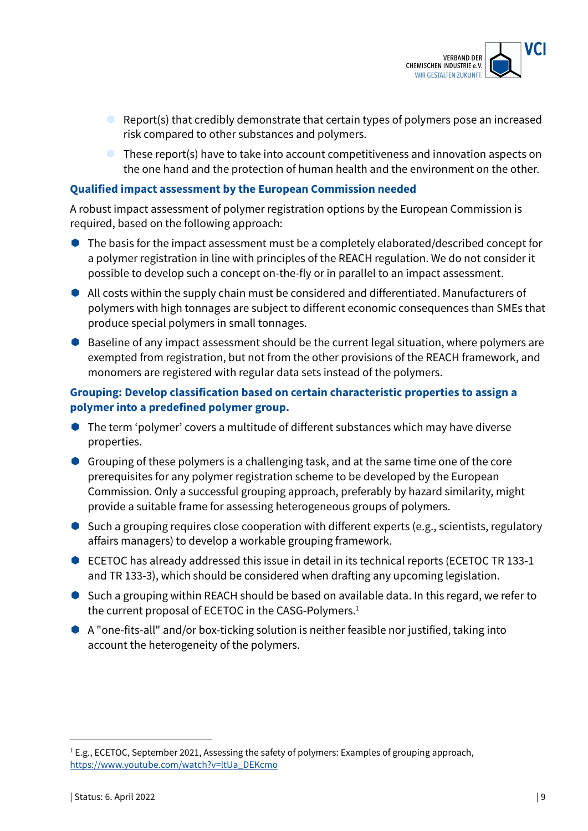

- Report(s) that credibly demonstrate that certain types of polymers pose an increased risk compared to other substances and polymers.
- **C** These report(s) have to take into account competitiveness and innovation aspects on the one hand and the protection of human health and the environment on the other.

#### **Qualified impact assessment by the European Commission needed**

A robust impact assessment of polymer registration options by the European Commission is required, based on the following approach:

- The basis for the impact assessment must be a completely elaborated/described concept for a polymer registration in line with principles of the REACH regulation. We do not consider it possible to develop such a concept on-the-fly or in parallel to an impact assessment.
- All costs within the supply chain must be considered and differentiated. Manufacturers of polymers with high tonnages are subject to different economic consequences than SMEs that produce special polymers in small tonnages.
- Baseline of any impact assessment should be the current legal situation, where polymers are exempted from registration, but not from the other provisions of the REACH framework, and monomers are registered with regular data sets instead of the polymers.

#### **Grouping: Develop classification based on certain characteristic properties to assign a polymer into a predefined polymer group.**

- The term 'polymer' covers a multitude of different substances which may have diverse properties.
- Grouping of these polymers is a challenging task, and at the same time one of the core prerequisites for any polymer registration scheme to be developed by the European Commission. Only a successful grouping approach, preferably by hazard similarity, might provide a suitable frame for assessing heterogeneous groups of polymers.
- Such a grouping requires close cooperation with different experts (e.g., scientists, regulatory affairs managers) to develop a workable grouping framework.
- ECETOC has already addressed this issue in detail in its technical reports (ECETOC TR 133-1 and TR 133-3), which should be considered when drafting any upcoming legislation.
- Such a grouping within REACH should be based on available data. In this regard, we refer to the current proposal of ECETOC in the CASG-Polymers. 1
- A "one-fits-all" and/or box-ticking solution is neither feasible nor justified, taking into account the heterogeneity of the polymers.

<sup>&</sup>lt;sup>1</sup> E.g., ECETOC, September 2021, Assessing the safety of polymers: Examples of grouping approach, https://www.youtube.com/watch?v=ltUa\_DEKcmo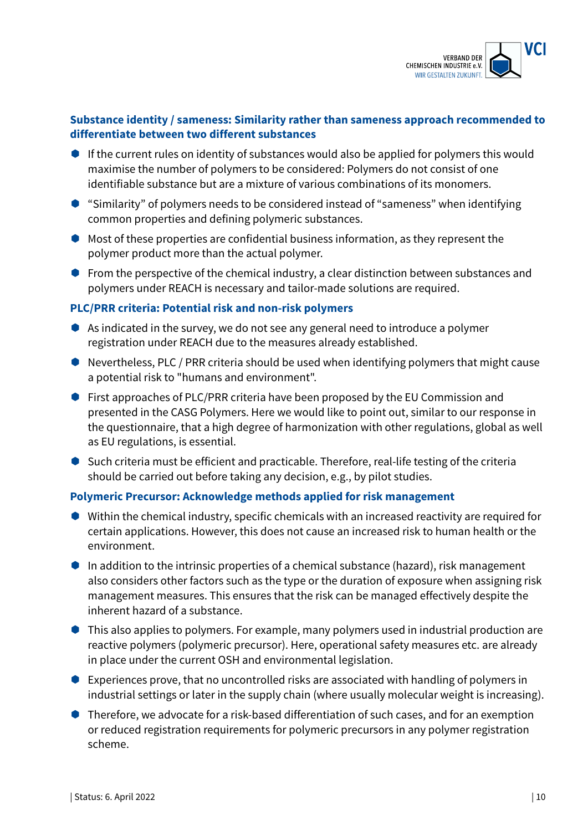

### **Substance identity / sameness: Similarity rather than sameness approach recommended to differentiate between two different substances**

- $\bullet$  If the current rules on identity of substances would also be applied for polymers this would maximise the number of polymers to be considered: Polymers do not consist of one identifiable substance but are a mixture of various combinations of its monomers.
- "Similarity" of polymers needs to be considered instead of "sameness" when identifying common properties and defining polymeric substances.
- $\bullet$  Most of these properties are confidential business information, as they represent the polymer product more than the actual polymer.
- **From the perspective of the chemical industry, a clear distinction between substances and** polymers under REACH is necessary and tailor-made solutions are required.

#### **PLC/PRR criteria: Potential risk and non-risk polymers**

- $\bullet$  As indicated in the survey, we do not see any general need to introduce a polymer registration under REACH due to the measures already established.
- Nevertheless, PLC / PRR criteria should be used when identifying polymers that might cause a potential risk to "humans and environment".
- **First approaches of PLC/PRR criteria have been proposed by the EU Commission and** presented in the CASG Polymers. Here we would like to point out, similar to our response in the questionnaire, that a high degree of harmonization with other regulations, global as well as EU regulations, is essential.
- Such criteria must be efficient and practicable. Therefore, real-life testing of the criteria should be carried out before taking any decision, e.g., by pilot studies.

#### **Polymeric Precursor: Acknowledge methods applied for risk management**

- Within the chemical industry, specific chemicals with an increased reactivity are required for certain applications. However, this does not cause an increased risk to human health or the environment.
- $\bullet$  In addition to the intrinsic properties of a chemical substance (hazard), risk management also considers other factors such as the type or the duration of exposure when assigning risk management measures. This ensures that the risk can be managed effectively despite the inherent hazard of a substance.
- $\bullet$  This also applies to polymers. For example, many polymers used in industrial production are reactive polymers (polymeric precursor). Here, operational safety measures etc. are already in place under the current OSH and environmental legislation.
- Experiences prove, that no uncontrolled risks are associated with handling of polymers in industrial settings or later in the supply chain (where usually molecular weight is increasing).
- Therefore, we advocate for a risk-based differentiation of such cases, and for an exemption or reduced registration requirements for polymeric precursors in any polymer registration scheme.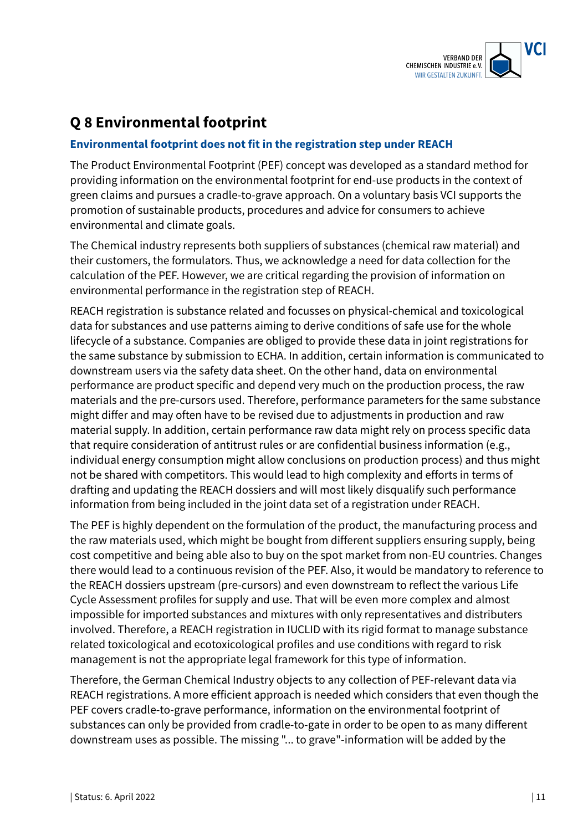

# **Q 8 Environmental footprint**

### **Environmental footprint does not fit in the registration step under REACH**

The Product Environmental Footprint (PEF) concept was developed as a standard method for providing information on the environmental footprint for end-use products in the context of green claims and pursues a cradle-to-grave approach. On a voluntary basis VCI supports the promotion of sustainable products, procedures and advice for consumers to achieve environmental and climate goals.

The Chemical industry represents both suppliers of substances (chemical raw material) and their customers, the formulators. Thus, we acknowledge a need for data collection for the calculation of the PEF. However, we are critical regarding the provision of information on environmental performance in the registration step of REACH.

REACH registration is substance related and focusses on physical-chemical and toxicological data for substances and use patterns aiming to derive conditions of safe use for the whole lifecycle of a substance. Companies are obliged to provide these data in joint registrations for the same substance by submission to ECHA. In addition, certain information is communicated to downstream users via the safety data sheet. On the other hand, data on environmental performance are product specific and depend very much on the production process, the raw materials and the pre-cursors used. Therefore, performance parameters for the same substance might differ and may often have to be revised due to adjustments in production and raw material supply. In addition, certain performance raw data might rely on process specific data that require consideration of antitrust rules or are confidential business information (e.g., individual energy consumption might allow conclusions on production process) and thus might not be shared with competitors. This would lead to high complexity and efforts in terms of drafting and updating the REACH dossiers and will most likely disqualify such performance information from being included in the joint data set of a registration under REACH.

The PEF is highly dependent on the formulation of the product, the manufacturing process and the raw materials used, which might be bought from different suppliers ensuring supply, being cost competitive and being able also to buy on the spot market from non-EU countries. Changes there would lead to a continuous revision of the PEF. Also, it would be mandatory to reference to the REACH dossiers upstream (pre-cursors) and even downstream to reflect the various Life Cycle Assessment profiles for supply and use. That will be even more complex and almost impossible for imported substances and mixtures with only representatives and distributers involved. Therefore, a REACH registration in IUCLID with its rigid format to manage substance related toxicological and ecotoxicological profiles and use conditions with regard to risk management is not the appropriate legal framework for this type of information.

Therefore, the German Chemical Industry objects to any collection of PEF-relevant data via REACH registrations. A more efficient approach is needed which considers that even though the PEF covers cradle-to-grave performance, information on the environmental footprint of substances can only be provided from cradle-to-gate in order to be open to as many different downstream uses as possible. The missing "... to grave"-information will be added by the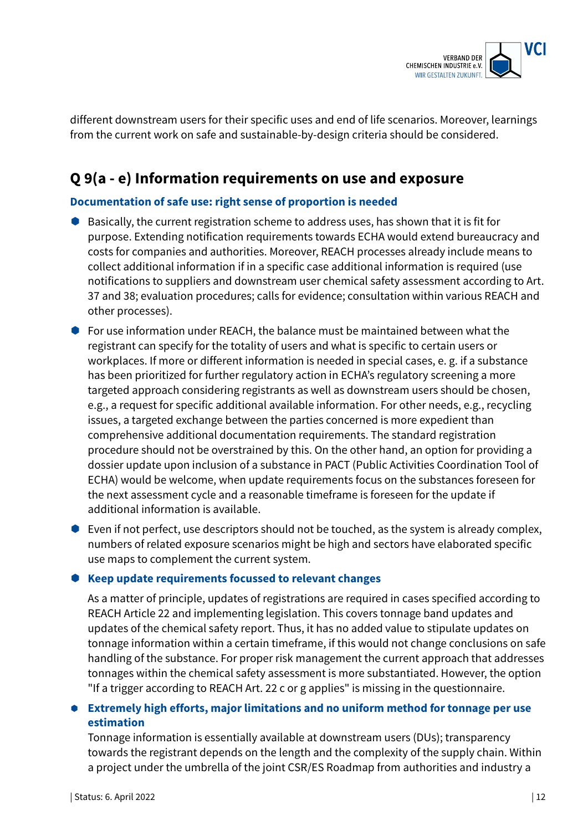

different downstream users for their specific uses and end of life scenarios. Moreover, learnings from the current work on safe and sustainable-by-design criteria should be considered.

# **Q 9(a - e) Information requirements on use and exposure**

#### **Documentation of safe use: right sense of proportion is needed**

- Basically, the current registration scheme to address uses, has shown that it is fit for purpose. Extending notification requirements towards ECHA would extend bureaucracy and costs for companies and authorities. Moreover, REACH processes already include means to collect additional information if in a specific case additional information is required (use notifications to suppliers and downstream user chemical safety assessment according to Art. 37 and 38; evaluation procedures; calls for evidence; consultation within various REACH and other processes).
- For use information under REACH, the balance must be maintained between what the registrant can specify for the totality of users and what is specific to certain users or workplaces. If more or different information is needed in special cases, e. g. if a substance has been prioritized for further regulatory action in ECHA's regulatory screening a more targeted approach considering registrants as well as downstream users should be chosen, e.g., a request for specific additional available information. For other needs, e.g., recycling issues, a targeted exchange between the parties concerned is more expedient than comprehensive additional documentation requirements. The standard registration procedure should not be overstrained by this. On the other hand, an option for providing a dossier update upon inclusion of a substance in PACT (Public Activities Coordination Tool of ECHA) would be welcome, when update requirements focus on the substances foreseen for the next assessment cycle and a reasonable timeframe is foreseen for the update if additional information is available.
- Even if not perfect, use descriptors should not be touched, as the system is already complex, numbers of related exposure scenarios might be high and sectors have elaborated specific use maps to complement the current system.

#### **Keep update requirements focussed to relevant changes**

As a matter of principle, updates of registrations are required in cases specified according to REACH Article 22 and implementing legislation. This covers tonnage band updates and updates of the chemical safety report. Thus, it has no added value to stipulate updates on tonnage information within a certain timeframe, if this would not change conclusions on safe handling of the substance. For proper risk management the current approach that addresses tonnages within the chemical safety assessment is more substantiated. However, the option "If a trigger according to REACH Art. 22 c or g applies" is missing in the questionnaire.

#### **Extremely high efforts, major limitations and no uniform method for tonnage per use estimation**

Tonnage information is essentially available at downstream users (DUs); transparency towards the registrant depends on the length and the complexity of the supply chain. Within a project under the umbrella of the joint CSR/ES Roadmap from authorities and industry a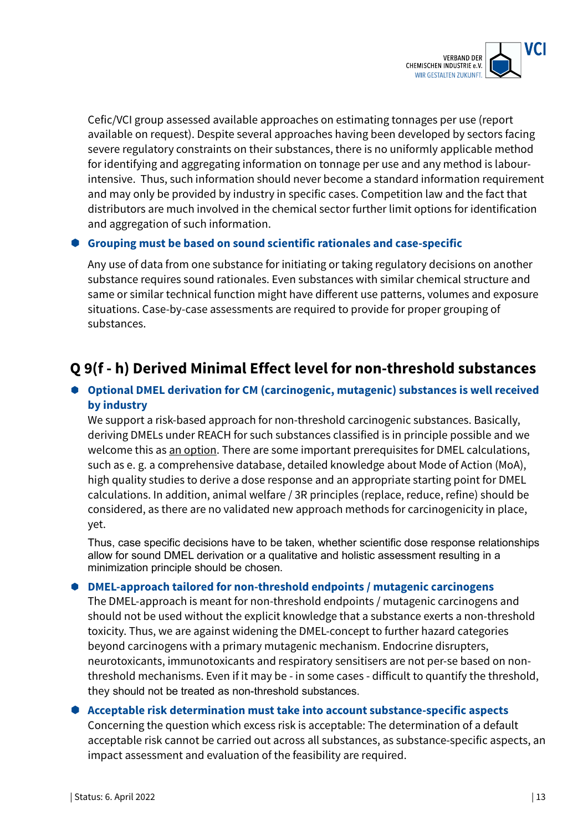

Cefic/VCI group assessed available approaches on estimating tonnages per use (report available on request). Despite several approaches having been developed by sectors facing severe regulatory constraints on their substances, there is no uniformly applicable method for identifying and aggregating information on tonnage per use and any method is labourintensive. Thus, such information should never become a standard information requirement and may only be provided by industry in specific cases. Competition law and the fact that distributors are much involved in the chemical sector further limit options for identification and aggregation of such information.

#### **Grouping must be based on sound scientific rationales and case-specific**

Any use of data from one substance for initiating or taking regulatory decisions on another substance requires sound rationales. Even substances with similar chemical structure and same or similar technical function might have different use patterns, volumes and exposure situations. Case-by-case assessments are required to provide for proper grouping of substances.

# **Q 9(f - h) Derived Minimal Effect level for non-threshold substances**

### **Optional DMEL derivation for CM (carcinogenic, mutagenic) substances is well received by industry**

We support a risk-based approach for non-threshold carcinogenic substances. Basically, deriving DMELs under REACH for such substances classified is in principle possible and we welcome this as an option. There are some important prerequisites for DMEL calculations, such as e. g. a comprehensive database, detailed knowledge about Mode of Action (MoA), high quality studies to derive a dose response and an appropriate starting point for DMEL calculations. In addition, animal welfare / 3R principles (replace, reduce, refine) should be considered, as there are no validated new approach methods for carcinogenicity in place, yet.

Thus, case specific decisions have to be taken, whether scientific dose response relationships allow for sound DMEL derivation or a qualitative and holistic assessment resulting in a minimization principle should be chosen.

#### **DMEL-approach tailored for non-threshold endpoints / mutagenic carcinogens**

The DMEL-approach is meant for non-threshold endpoints / mutagenic carcinogens and should not be used without the explicit knowledge that a substance exerts a non-threshold toxicity. Thus, we are against widening the DMEL-concept to further hazard categories beyond carcinogens with a primary mutagenic mechanism. Endocrine disrupters, neurotoxicants, immunotoxicants and respiratory sensitisers are not per-se based on nonthreshold mechanisms. Even if it may be - in some cases - difficult to quantify the threshold, they should not be treated as non-threshold substances.

#### **Acceptable risk determination must take into account substance-specific aspects**

Concerning the question which excess risk is acceptable: The determination of a default acceptable risk cannot be carried out across all substances, as substance-specific aspects, an impact assessment and evaluation of the feasibility are required.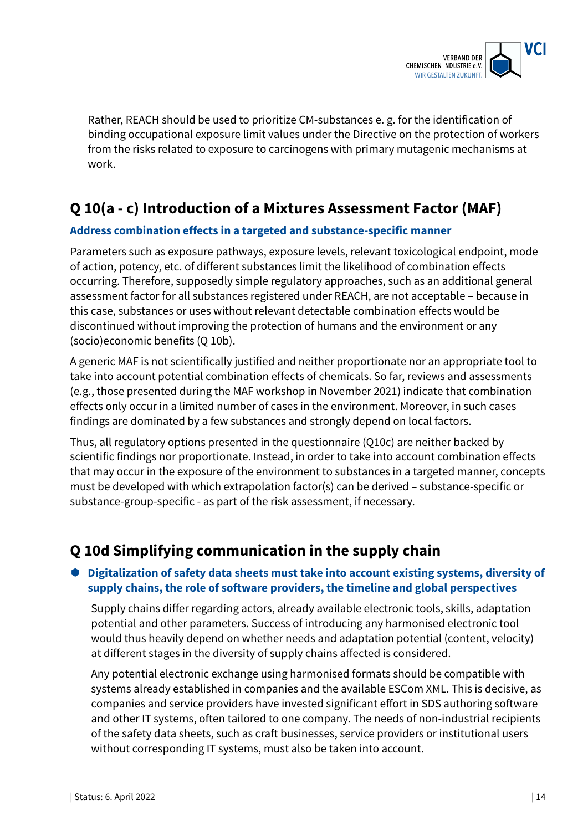

Rather, REACH should be used to prioritize CM-substances e. g. for the identification of binding occupational exposure limit values under the Directive on the protection of workers from the risks related to exposure to carcinogens with primary mutagenic mechanisms at work.

# **Q 10(a - c) Introduction of a Mixtures Assessment Factor (MAF)**

#### **Address combination effects in a targeted and substance-specific manner**

Parameters such as exposure pathways, exposure levels, relevant toxicological endpoint, mode of action, potency, etc. of different substances limit the likelihood of combination effects occurring. Therefore, supposedly simple regulatory approaches, such as an additional general assessment factor for all substances registered under REACH, are not acceptable – because in this case, substances or uses without relevant detectable combination effects would be discontinued without improving the protection of humans and the environment or any (socio)economic benefits (Q 10b).

A generic MAF is not scientifically justified and neither proportionate nor an appropriate tool to take into account potential combination effects of chemicals. So far, reviews and assessments (e.g., those presented during the MAF workshop in November 2021) indicate that combination effects only occur in a limited number of cases in the environment. Moreover, in such cases findings are dominated by a few substances and strongly depend on local factors.

Thus, all regulatory options presented in the questionnaire (Q10c) are neither backed by scientific findings nor proportionate. Instead, in order to take into account combination effects that may occur in the exposure of the environment to substances in a targeted manner, concepts must be developed with which extrapolation factor(s) can be derived – substance-specific or substance-group-specific - as part of the risk assessment, if necessary.

# **Q 10d Simplifying communication in the supply chain**

### **Digitalization of safety data sheets must take into account existing systems, diversity of supply chains, the role of software providers, the timeline and global perspectives**

Supply chains differ regarding actors, already available electronic tools, skills, adaptation potential and other parameters. Success of introducing any harmonised electronic tool would thus heavily depend on whether needs and adaptation potential (content, velocity) at different stages in the diversity of supply chains affected is considered.

Any potential electronic exchange using harmonised formats should be compatible with systems already established in companies and the available ESCom XML. This is decisive, as companies and service providers have invested significant effort in SDS authoring software and other IT systems, often tailored to one company. The needs of non-industrial recipients of the safety data sheets, such as craft businesses, service providers or institutional users without corresponding IT systems, must also be taken into account.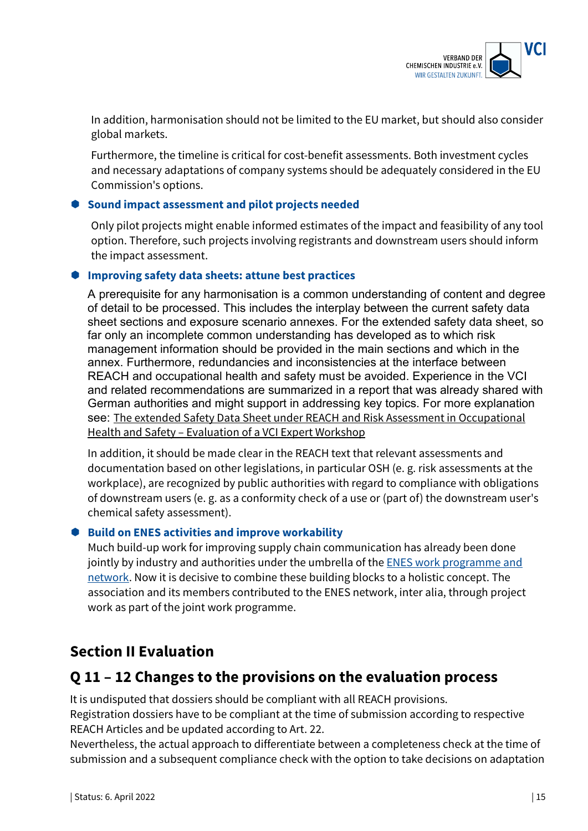

In addition, harmonisation should not be limited to the EU market, but should also consider global markets.

Furthermore, the timeline is critical for cost-benefit assessments. Both investment cycles and necessary adaptations of company systems should be adequately considered in the EU Commission's options.

#### **Sound impact assessment and pilot projects needed**

Only pilot projects might enable informed estimates of the impact and feasibility of any tool option. Therefore, such projects involving registrants and downstream users should inform the impact assessment.

#### **Improving safety data sheets: attune best practices**

A prerequisite for any harmonisation is a common understanding of content and degree of detail to be processed. This includes the interplay between the current safety data sheet sections and exposure scenario annexes. For the extended safety data sheet, so far only an incomplete common understanding has developed as to which risk management information should be provided in the main sections and which in the annex. Furthermore, redundancies and inconsistencies at the interface between REACH and occupational health and safety must be avoided. Experience in the VCI and related recommendations are summarized in a report that was already shared with German authorities and might support in addressing key topics. For more explanation see: The extended Safety Data Sheet under REACH and Risk Assessment in Occupational Health and Safety – Evaluation of a VCI Expert Workshop

In addition, it should be made clear in the REACH text that relevant assessments and documentation based on other legislations, in particular OSH (e. g. risk assessments at the workplace), are recognized by public authorities with regard to compliance with obligations of downstream users (e. g. as a conformity check of a use or (part of) the downstream user's chemical safety assessment).

#### **Build on ENES activities and improve workability**

Much build-up work for improving supply chain communication has already been done jointly by industry and authorities under the umbrella of the **ENES** work programme and network. Now it is decisive to combine these building blocks to a holistic concept. The association and its members contributed to the ENES network, inter alia, through project work as part of the joint work programme.

# **Section II Evaluation**

## **Q 11 – 12 Changes to the provisions on the evaluation process**

It is undisputed that dossiers should be compliant with all REACH provisions.

Registration dossiers have to be compliant at the time of submission according to respective REACH Articles and be updated according to Art. 22.

Nevertheless, the actual approach to differentiate between a completeness check at the time of submission and a subsequent compliance check with the option to take decisions on adaptation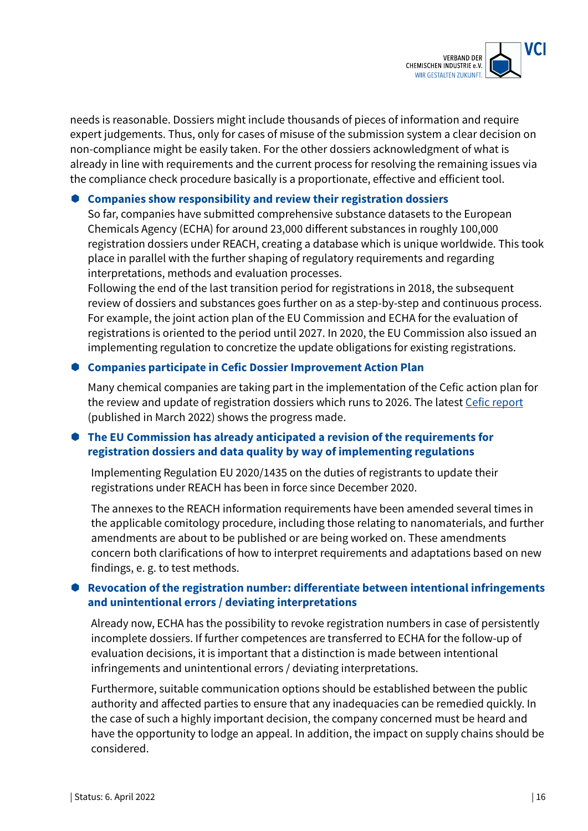

needs is reasonable. Dossiers might include thousands of pieces of information and require expert judgements. Thus, only for cases of misuse of the submission system a clear decision on non-compliance might be easily taken. For the other dossiers acknowledgment of what is already in line with requirements and the current process for resolving the remaining issues via the compliance check procedure basically is a proportionate, effective and efficient tool.

#### **Companies show responsibility and review their registration dossiers**

So far, companies have submitted comprehensive substance datasets to the European Chemicals Agency (ECHA) for around 23,000 different substances in roughly 100,000 registration dossiers under REACH, creating a database which is unique worldwide. This took place in parallel with the further shaping of regulatory requirements and regarding interpretations, methods and evaluation processes.

Following the end of the last transition period for registrations in 2018, the subsequent review of dossiers and substances goes further on as a step-by-step and continuous process. For example, the joint action plan of the EU Commission and ECHA for the evaluation of registrations is oriented to the period until 2027. In 2020, the EU Commission also issued an implementing regulation to concretize the update obligations for existing registrations.

#### **Companies participate in Cefic Dossier Improvement Action Plan**

Many chemical companies are taking part in the implementation of the Cefic action plan for the review and update of registration dossiers which runs to 2026. The latest Cefic report (published in March 2022) shows the progress made.

### **The EU Commission has already anticipated a revision of the requirements for registration dossiers and data quality by way of implementing regulations**

Implementing Regulation EU 2020/1435 on the duties of registrants to update their registrations under REACH has been in force since December 2020.

The annexes to the REACH information requirements have been amended several times in the applicable comitology procedure, including those relating to nanomaterials, and further amendments are about to be published or are being worked on. These amendments concern both clarifications of how to interpret requirements and adaptations based on new findings, e. g. to test methods.

#### **Revocation of the registration number: differentiate between intentional infringements and unintentional errors / deviating interpretations**

Already now, ECHA has the possibility to revoke registration numbers in case of persistently incomplete dossiers. If further competences are transferred to ECHA for the follow-up of evaluation decisions, it is important that a distinction is made between intentional infringements and unintentional errors / deviating interpretations.

Furthermore, suitable communication options should be established between the public authority and affected parties to ensure that any inadequacies can be remedied quickly. In the case of such a highly important decision, the company concerned must be heard and have the opportunity to lodge an appeal. In addition, the impact on supply chains should be considered.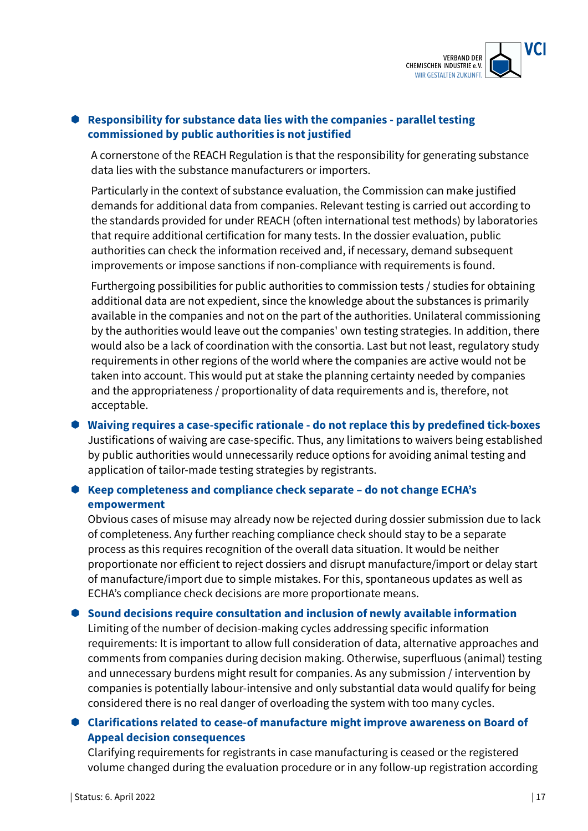

### **Responsibility for substance data lies with the companies - parallel testing commissioned by public authorities is not justified**

A cornerstone of the REACH Regulation is that the responsibility for generating substance data lies with the substance manufacturers or importers.

Particularly in the context of substance evaluation, the Commission can make justified demands for additional data from companies. Relevant testing is carried out according to the standards provided for under REACH (often international test methods) by laboratories that require additional certification for many tests. In the dossier evaluation, public authorities can check the information received and, if necessary, demand subsequent improvements or impose sanctions if non-compliance with requirements is found.

Furthergoing possibilities for public authorities to commission tests / studies for obtaining additional data are not expedient, since the knowledge about the substances is primarily available in the companies and not on the part of the authorities. Unilateral commissioning by the authorities would leave out the companies' own testing strategies. In addition, there would also be a lack of coordination with the consortia. Last but not least, regulatory study requirements in other regions of the world where the companies are active would not be taken into account. This would put at stake the planning certainty needed by companies and the appropriateness / proportionality of data requirements and is, therefore, not acceptable.

### **Waiving requires a case-specific rationale - do not replace this by predefined tick-boxes** Justifications of waiving are case-specific. Thus, any limitations to waivers being established by public authorities would unnecessarily reduce options for avoiding animal testing and application of tailor-made testing strategies by registrants.

### **Keep completeness and compliance check separate – do not change ECHA's empowerment**

Obvious cases of misuse may already now be rejected during dossier submission due to lack of completeness. Any further reaching compliance check should stay to be a separate process as this requires recognition of the overall data situation. It would be neither proportionate nor efficient to reject dossiers and disrupt manufacture/import or delay start of manufacture/import due to simple mistakes. For this, spontaneous updates as well as ECHA's compliance check decisions are more proportionate means.

# **Sound decisions require consultation and inclusion of newly available information**

Limiting of the number of decision-making cycles addressing specific information requirements: It is important to allow full consideration of data, alternative approaches and comments from companies during decision making. Otherwise, superfluous (animal) testing and unnecessary burdens might result for companies. As any submission / intervention by companies is potentially labour-intensive and only substantial data would qualify for being considered there is no real danger of overloading the system with too many cycles.

### **Clarifications related to cease-of manufacture might improve awareness on Board of Appeal decision consequences**

Clarifying requirements for registrants in case manufacturing is ceased or the registered volume changed during the evaluation procedure or in any follow-up registration according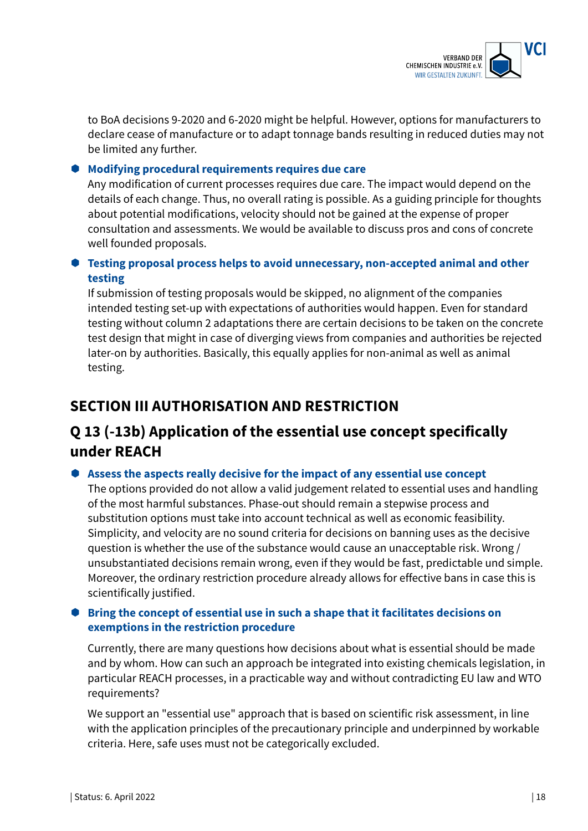

to BoA decisions 9-2020 and 6-2020 might be helpful. However, options for manufacturers to declare cease of manufacture or to adapt tonnage bands resulting in reduced duties may not be limited any further.

#### **Modifying procedural requirements requires due care**

Any modification of current processes requires due care. The impact would depend on the details of each change. Thus, no overall rating is possible. As a guiding principle for thoughts about potential modifications, velocity should not be gained at the expense of proper consultation and assessments. We would be available to discuss pros and cons of concrete well founded proposals.

### **Testing proposal process helps to avoid unnecessary, non-accepted animal and other testing**

If submission of testing proposals would be skipped, no alignment of the companies intended testing set-up with expectations of authorities would happen. Even for standard testing without column 2 adaptations there are certain decisions to be taken on the concrete test design that might in case of diverging views from companies and authorities be rejected later-on by authorities. Basically, this equally applies for non-animal as well as animal testing.

# **SECTION III AUTHORISATION AND RESTRICTION**

# **Q 13 (-13b) Application of the essential use concept specifically under REACH**

#### **Assess the aspects really decisive for the impact of any essential use concept**

The options provided do not allow a valid judgement related to essential uses and handling of the most harmful substances. Phase-out should remain a stepwise process and substitution options must take into account technical as well as economic feasibility. Simplicity, and velocity are no sound criteria for decisions on banning uses as the decisive question is whether the use of the substance would cause an unacceptable risk. Wrong / unsubstantiated decisions remain wrong, even if they would be fast, predictable und simple. Moreover, the ordinary restriction procedure already allows for effective bans in case this is scientifically justified.

### **Bring the concept of essential use in such a shape that it facilitates decisions on exemptions in the restriction procedure**

Currently, there are many questions how decisions about what is essential should be made and by whom. How can such an approach be integrated into existing chemicals legislation, in particular REACH processes, in a practicable way and without contradicting EU law and WTO requirements?

We support an "essential use" approach that is based on scientific risk assessment, in line with the application principles of the precautionary principle and underpinned by workable criteria. Here, safe uses must not be categorically excluded.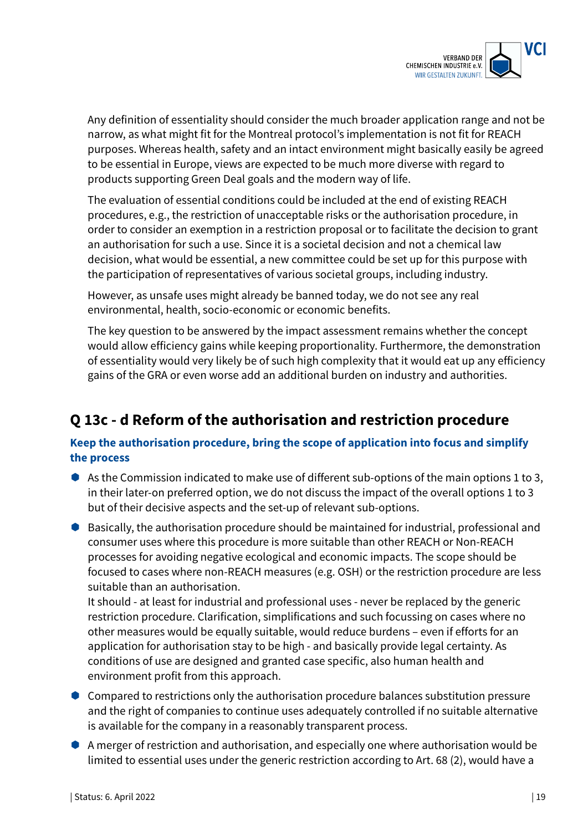

Any definition of essentiality should consider the much broader application range and not be narrow, as what might fit for the Montreal protocol's implementation is not fit for REACH purposes. Whereas health, safety and an intact environment might basically easily be agreed to be essential in Europe, views are expected to be much more diverse with regard to products supporting Green Deal goals and the modern way of life.

The evaluation of essential conditions could be included at the end of existing REACH procedures, e.g., the restriction of unacceptable risks or the authorisation procedure, in order to consider an exemption in a restriction proposal or to facilitate the decision to grant an authorisation for such a use. Since it is a societal decision and not a chemical law decision, what would be essential, a new committee could be set up for this purpose with the participation of representatives of various societal groups, including industry.

However, as unsafe uses might already be banned today, we do not see any real environmental, health, socio-economic or economic benefits.

The key question to be answered by the impact assessment remains whether the concept would allow efficiency gains while keeping proportionality. Furthermore, the demonstration of essentiality would very likely be of such high complexity that it would eat up any efficiency gains of the GRA or even worse add an additional burden on industry and authorities.

# **Q 13c - d Reform of the authorisation and restriction procedure**

### **Keep the authorisation procedure, bring the scope of application into focus and simplify the process**

- As the Commission indicated to make use of different sub-options of the main options 1 to 3, in their later-on preferred option, we do not discuss the impact of the overall options 1 to 3 but of their decisive aspects and the set-up of relevant sub-options.
- Basically, the authorisation procedure should be maintained for industrial, professional and consumer uses where this procedure is more suitable than other REACH or Non-REACH processes for avoiding negative ecological and economic impacts. The scope should be focused to cases where non-REACH measures (e.g. OSH) or the restriction procedure are less suitable than an authorisation.

It should - at least for industrial and professional uses - never be replaced by the generic restriction procedure. Clarification, simplifications and such focussing on cases where no other measures would be equally suitable, would reduce burdens – even if efforts for an application for authorisation stay to be high - and basically provide legal certainty. As conditions of use are designed and granted case specific, also human health and environment profit from this approach.

- Compared to restrictions only the authorisation procedure balances substitution pressure and the right of companies to continue uses adequately controlled if no suitable alternative is available for the company in a reasonably transparent process.
- A merger of restriction and authorisation, and especially one where authorisation would be limited to essential uses under the generic restriction according to Art. 68 (2), would have a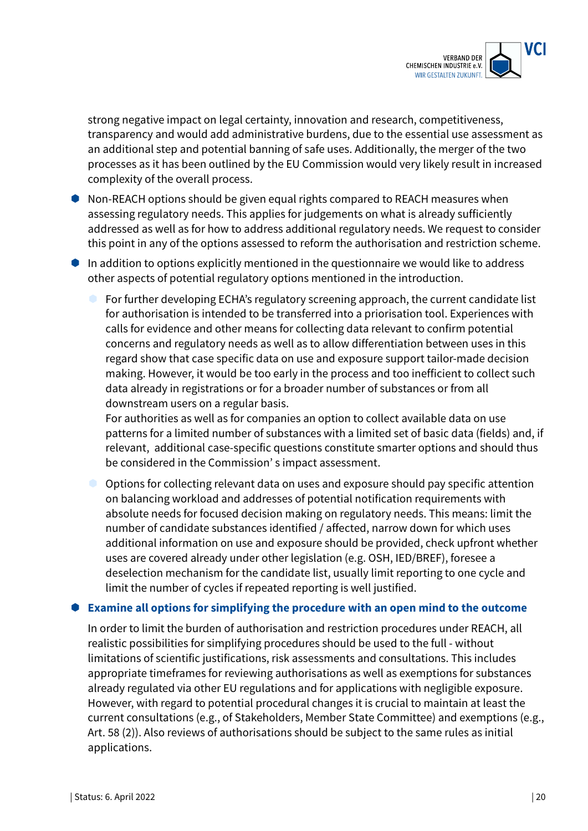

strong negative impact on legal certainty, innovation and research, competitiveness, transparency and would add administrative burdens, due to the essential use assessment as an additional step and potential banning of safe uses. Additionally, the merger of the two processes as it has been outlined by the EU Commission would very likely result in increased complexity of the overall process.

- Non-REACH options should be given equal rights compared to REACH measures when assessing regulatory needs. This applies for judgements on what is already sufficiently addressed as well as for how to address additional regulatory needs. We request to consider this point in any of the options assessed to reform the authorisation and restriction scheme.
- $\bullet$  In addition to options explicitly mentioned in the questionnaire we would like to address other aspects of potential regulatory options mentioned in the introduction.
	- For further developing ECHA's regulatory screening approach, the current candidate list for authorisation is intended to be transferred into a priorisation tool. Experiences with calls for evidence and other means for collecting data relevant to confirm potential concerns and regulatory needs as well as to allow differentiation between uses in this regard show that case specific data on use and exposure support tailor-made decision making. However, it would be too early in the process and too inefficient to collect such data already in registrations or for a broader number of substances or from all downstream users on a regular basis.

For authorities as well as for companies an option to collect available data on use patterns for a limited number of substances with a limited set of basic data (fields) and, if relevant, additional case-specific questions constitute smarter options and should thus be considered in the Commission' s impact assessment.

 Options for collecting relevant data on uses and exposure should pay specific attention on balancing workload and addresses of potential notification requirements with absolute needs for focused decision making on regulatory needs. This means: limit the number of candidate substances identified / affected, narrow down for which uses additional information on use and exposure should be provided, check upfront whether uses are covered already under other legislation (e.g. OSH, IED/BREF), foresee a deselection mechanism for the candidate list, usually limit reporting to one cycle and limit the number of cycles if repeated reporting is well justified.

#### **Examine all options for simplifying the procedure with an open mind to the outcome**

In order to limit the burden of authorisation and restriction procedures under REACH, all realistic possibilities for simplifying procedures should be used to the full - without limitations of scientific justifications, risk assessments and consultations. This includes appropriate timeframes for reviewing authorisations as well as exemptions for substances already regulated via other EU regulations and for applications with negligible exposure. However, with regard to potential procedural changes it is crucial to maintain at least the current consultations (e.g., of Stakeholders, Member State Committee) and exemptions (e.g., Art. 58 (2)). Also reviews of authorisations should be subject to the same rules as initial applications.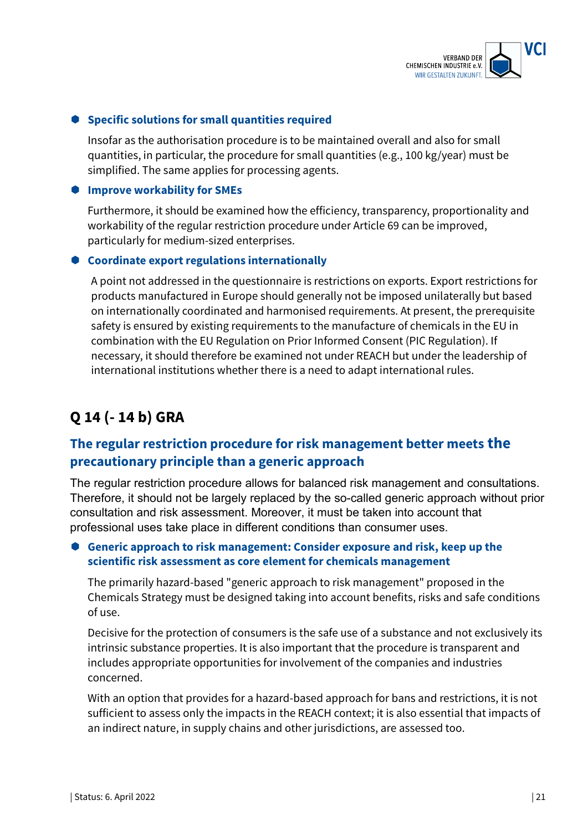

#### **Specific solutions for small quantities required**

Insofar as the authorisation procedure is to be maintained overall and also for small quantities, in particular, the procedure for small quantities (e.g., 100 kg/year) must be simplified. The same applies for processing agents.

#### **Improve workability for SMEs**

Furthermore, it should be examined how the efficiency, transparency, proportionality and workability of the regular restriction procedure under Article 69 can be improved, particularly for medium-sized enterprises.

#### **Coordinate export regulations internationally**

A point not addressed in the questionnaire is restrictions on exports. Export restrictions for products manufactured in Europe should generally not be imposed unilaterally but based on internationally coordinated and harmonised requirements. At present, the prerequisite safety is ensured by existing requirements to the manufacture of chemicals in the EU in combination with the EU Regulation on Prior Informed Consent (PIC Regulation). If necessary, it should therefore be examined not under REACH but under the leadership of international institutions whether there is a need to adapt international rules.

# **Q 14 (- 14 b) GRA**

## **The regular restriction procedure for risk management better meets the precautionary principle than a generic approach**

The regular restriction procedure allows for balanced risk management and consultations. Therefore, it should not be largely replaced by the so-called generic approach without prior consultation and risk assessment. Moreover, it must be taken into account that professional uses take place in different conditions than consumer uses.

#### **Generic approach to risk management: Consider exposure and risk, keep up the scientific risk assessment as core element for chemicals management**

The primarily hazard-based "generic approach to risk management" proposed in the Chemicals Strategy must be designed taking into account benefits, risks and safe conditions of use.

Decisive for the protection of consumers is the safe use of a substance and not exclusively its intrinsic substance properties. It is also important that the procedure is transparent and includes appropriate opportunities for involvement of the companies and industries concerned.

With an option that provides for a hazard-based approach for bans and restrictions, it is not sufficient to assess only the impacts in the REACH context; it is also essential that impacts of an indirect nature, in supply chains and other jurisdictions, are assessed too.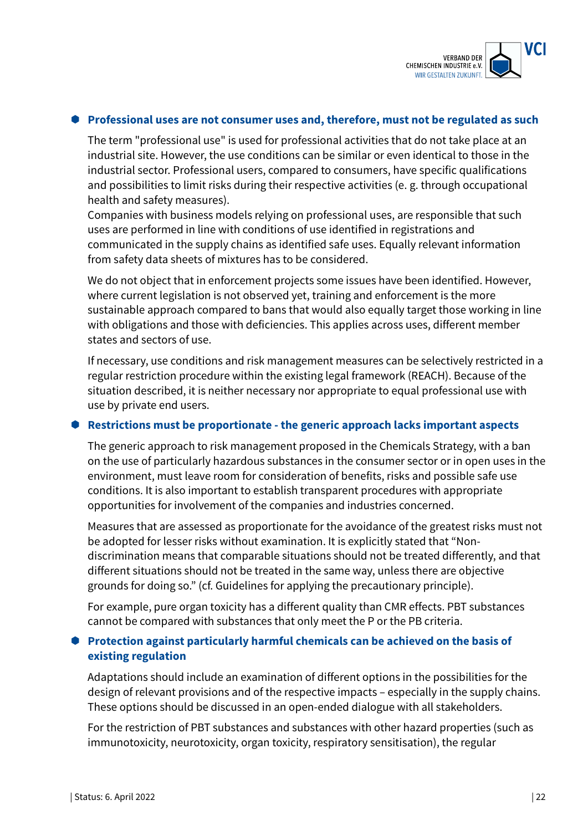

#### **Professional uses are not consumer uses and, therefore, must not be regulated as such**

The term "professional use" is used for professional activities that do not take place at an industrial site. However, the use conditions can be similar or even identical to those in the industrial sector. Professional users, compared to consumers, have specific qualifications and possibilities to limit risks during their respective activities (e. g. through occupational health and safety measures).

Companies with business models relying on professional uses, are responsible that such uses are performed in line with conditions of use identified in registrations and communicated in the supply chains as identified safe uses. Equally relevant information from safety data sheets of mixtures has to be considered.

We do not object that in enforcement projects some issues have been identified. However, where current legislation is not observed yet, training and enforcement is the more sustainable approach compared to bans that would also equally target those working in line with obligations and those with deficiencies. This applies across uses, different member states and sectors of use.

If necessary, use conditions and risk management measures can be selectively restricted in a regular restriction procedure within the existing legal framework (REACH). Because of the situation described, it is neither necessary nor appropriate to equal professional use with use by private end users.

#### **Restrictions must be proportionate - the generic approach lacks important aspects**

The generic approach to risk management proposed in the Chemicals Strategy, with a ban on the use of particularly hazardous substances in the consumer sector or in open uses in the environment, must leave room for consideration of benefits, risks and possible safe use conditions. It is also important to establish transparent procedures with appropriate opportunities for involvement of the companies and industries concerned.

Measures that are assessed as proportionate for the avoidance of the greatest risks must not be adopted for lesser risks without examination. It is explicitly stated that "Nondiscrimination means that comparable situations should not be treated differently, and that different situations should not be treated in the same way, unless there are objective grounds for doing so." (cf. Guidelines for applying the precautionary principle).

For example, pure organ toxicity has a different quality than CMR effects. PBT substances cannot be compared with substances that only meet the P or the PB criteria.

#### **Protection against particularly harmful chemicals can be achieved on the basis of existing regulation**

Adaptations should include an examination of different options in the possibilities for the design of relevant provisions and of the respective impacts – especially in the supply chains. These options should be discussed in an open-ended dialogue with all stakeholders.

For the restriction of PBT substances and substances with other hazard properties (such as immunotoxicity, neurotoxicity, organ toxicity, respiratory sensitisation), the regular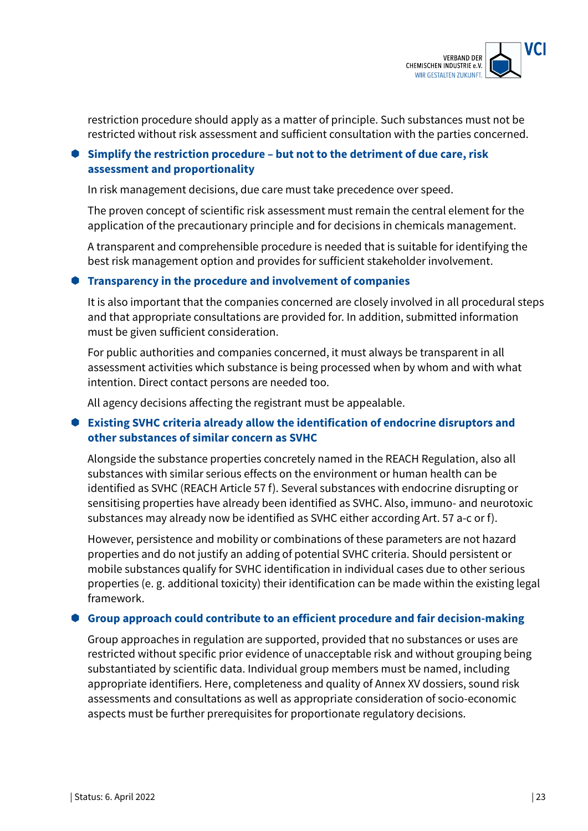

restriction procedure should apply as a matter of principle. Such substances must not be restricted without risk assessment and sufficient consultation with the parties concerned.

### **Simplify the restriction procedure – but not to the detriment of due care, risk assessment and proportionality**

In risk management decisions, due care must take precedence over speed.

The proven concept of scientific risk assessment must remain the central element for the application of the precautionary principle and for decisions in chemicals management.

A transparent and comprehensible procedure is needed that is suitable for identifying the best risk management option and provides for sufficient stakeholder involvement.

#### **Transparency in the procedure and involvement of companies**

It is also important that the companies concerned are closely involved in all procedural steps and that appropriate consultations are provided for. In addition, submitted information must be given sufficient consideration.

For public authorities and companies concerned, it must always be transparent in all assessment activities which substance is being processed when by whom and with what intention. Direct contact persons are needed too.

All agency decisions affecting the registrant must be appealable.

### **Existing SVHC criteria already allow the identification of endocrine disruptors and other substances of similar concern as SVHC**

Alongside the substance properties concretely named in the REACH Regulation, also all substances with similar serious effects on the environment or human health can be identified as SVHC (REACH Article 57 f). Several substances with endocrine disrupting or sensitising properties have already been identified as SVHC. Also, immuno- and neurotoxic substances may already now be identified as SVHC either according Art. 57 a-c or f).

However, persistence and mobility or combinations of these parameters are not hazard properties and do not justify an adding of potential SVHC criteria. Should persistent or mobile substances qualify for SVHC identification in individual cases due to other serious properties (e. g. additional toxicity) their identification can be made within the existing legal framework.

#### **Group approach could contribute to an efficient procedure and fair decision-making**

Group approaches in regulation are supported, provided that no substances or uses are restricted without specific prior evidence of unacceptable risk and without grouping being substantiated by scientific data. Individual group members must be named, including appropriate identifiers. Here, completeness and quality of Annex XV dossiers, sound risk assessments and consultations as well as appropriate consideration of socio-economic aspects must be further prerequisites for proportionate regulatory decisions.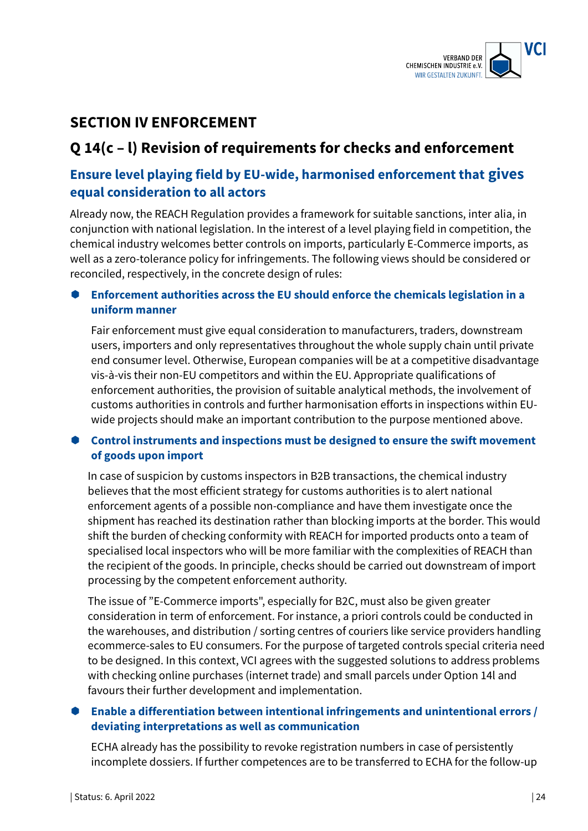

# **SECTION IV ENFORCEMENT**

# **Q 14(c – l) Revision of requirements for checks and enforcement**

# **Ensure level playing field by EU-wide, harmonised enforcement that gives equal consideration to all actors**

Already now, the REACH Regulation provides a framework for suitable sanctions, inter alia, in conjunction with national legislation. In the interest of a level playing field in competition, the chemical industry welcomes better controls on imports, particularly E-Commerce imports, as well as a zero-tolerance policy for infringements. The following views should be considered or reconciled, respectively, in the concrete design of rules:

### **Enforcement authorities across the EU should enforce the chemicals legislation in a uniform manner**

Fair enforcement must give equal consideration to manufacturers, traders, downstream users, importers and only representatives throughout the whole supply chain until private end consumer level. Otherwise, European companies will be at a competitive disadvantage vis-à-vis their non-EU competitors and within the EU. Appropriate qualifications of enforcement authorities, the provision of suitable analytical methods, the involvement of customs authorities in controls and further harmonisation efforts in inspections within EUwide projects should make an important contribution to the purpose mentioned above.

### **Control instruments and inspections must be designed to ensure the swift movement of goods upon import**

In case of suspicion by customs inspectors in B2B transactions, the chemical industry believes that the most efficient strategy for customs authorities is to alert national enforcement agents of a possible non-compliance and have them investigate once the shipment has reached its destination rather than blocking imports at the border. This would shift the burden of checking conformity with REACH for imported products onto a team of specialised local inspectors who will be more familiar with the complexities of REACH than the recipient of the goods. In principle, checks should be carried out downstream of import processing by the competent enforcement authority.

The issue of "E-Commerce imports", especially for B2C, must also be given greater consideration in term of enforcement. For instance, a priori controls could be conducted in the warehouses, and distribution / sorting centres of couriers like service providers handling ecommerce-sales to EU consumers. For the purpose of targeted controls special criteria need to be designed. In this context, VCI agrees with the suggested solutions to address problems with checking online purchases (internet trade) and small parcels under Option 14l and favours their further development and implementation.

### **Enable a differentiation between intentional infringements and unintentional errors / deviating interpretations as well as communication**

ECHA already has the possibility to revoke registration numbers in case of persistently incomplete dossiers. If further competences are to be transferred to ECHA for the follow-up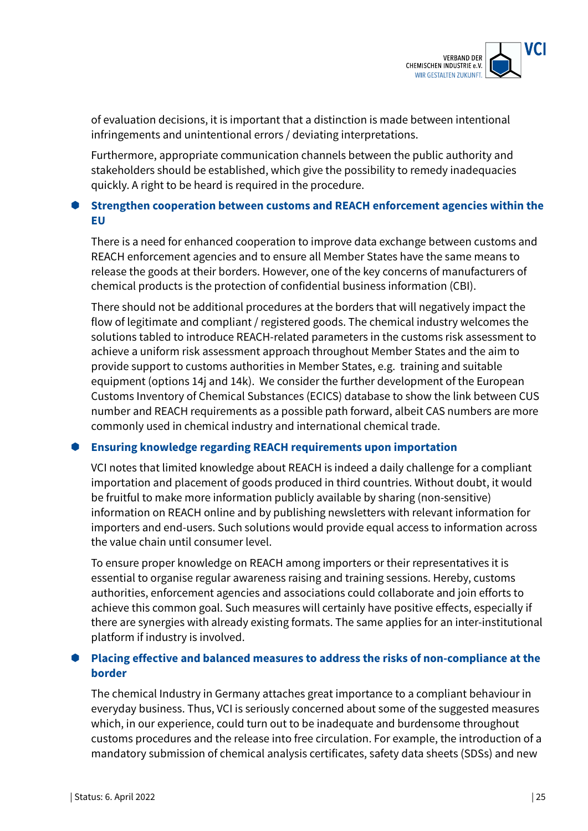

of evaluation decisions, it is important that a distinction is made between intentional infringements and unintentional errors / deviating interpretations.

Furthermore, appropriate communication channels between the public authority and stakeholders should be established, which give the possibility to remedy inadequacies quickly. A right to be heard is required in the procedure.

### **Strengthen cooperation between customs and REACH enforcement agencies within the EU**

There is a need for enhanced cooperation to improve data exchange between customs and REACH enforcement agencies and to ensure all Member States have the same means to release the goods at their borders. However, one of the key concerns of manufacturers of chemical products is the protection of confidential business information (CBI).

There should not be additional procedures at the borders that will negatively impact the flow of legitimate and compliant / registered goods. The chemical industry welcomes the solutions tabled to introduce REACH-related parameters in the customs risk assessment to achieve a uniform risk assessment approach throughout Member States and the aim to provide support to customs authorities in Member States, e.g. training and suitable equipment (options 14j and 14k). We consider the further development of the European Customs Inventory of Chemical Substances (ECICS) database to show the link between CUS number and REACH requirements as a possible path forward, albeit CAS numbers are more commonly used in chemical industry and international chemical trade.

#### **Ensuring knowledge regarding REACH requirements upon importation**

VCI notes that limited knowledge about REACH is indeed a daily challenge for a compliant importation and placement of goods produced in third countries. Without doubt, it would be fruitful to make more information publicly available by sharing (non-sensitive) information on REACH online and by publishing newsletters with relevant information for importers and end-users. Such solutions would provide equal access to information across the value chain until consumer level.

To ensure proper knowledge on REACH among importers or their representatives it is essential to organise regular awareness raising and training sessions. Hereby, customs authorities, enforcement agencies and associations could collaborate and join efforts to achieve this common goal. Such measures will certainly have positive effects, especially if there are synergies with already existing formats. The same applies for an inter-institutional platform if industry is involved.

### **Placing effective and balanced measures to address the risks of non-compliance at the border**

The chemical Industry in Germany attaches great importance to a compliant behaviour in everyday business. Thus, VCI is seriously concerned about some of the suggested measures which, in our experience, could turn out to be inadequate and burdensome throughout customs procedures and the release into free circulation. For example, the introduction of a mandatory submission of chemical analysis certificates, safety data sheets (SDSs) and new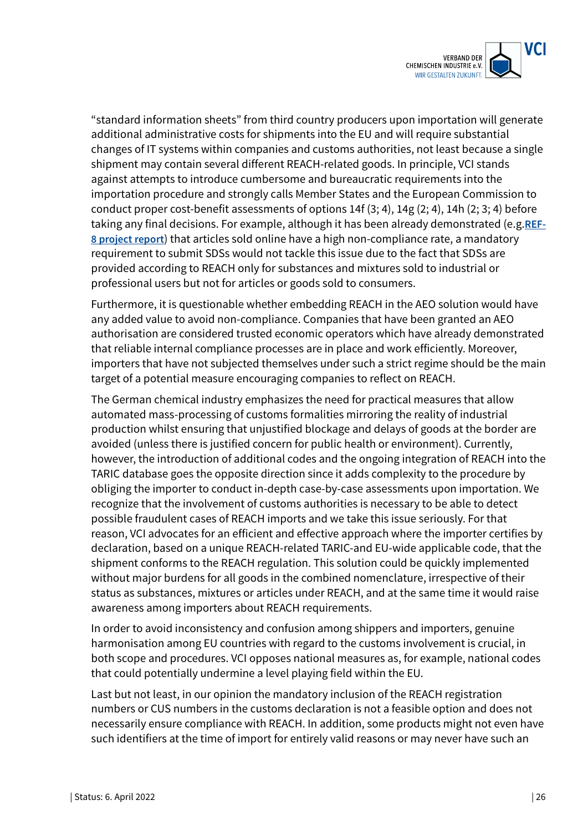

"standard information sheets" from third country producers upon importation will generate additional administrative costs for shipments into the EU and will require substantial changes of IT systems within companies and customs authorities, not least because a single shipment may contain several different REACH-related goods. In principle, VCI stands against attempts to introduce cumbersome and bureaucratic requirements into the importation procedure and strongly calls Member States and the European Commission to conduct proper cost-benefit assessments of options 14f (3; 4), 14g (2; 4), 14h (2; 3; 4) before taking any final decisions. For example, although it has been already demonstrated (e.g.**REF-8 project report**) that articles sold online have a high non-compliance rate, a mandatory requirement to submit SDSs would not tackle this issue due to the fact that SDSs are provided according to REACH only for substances and mixtures sold to industrial or professional users but not for articles or goods sold to consumers.

Furthermore, it is questionable whether embedding REACH in the AEO solution would have any added value to avoid non-compliance. Companies that have been granted an AEO authorisation are considered trusted economic operators which have already demonstrated that reliable internal compliance processes are in place and work efficiently. Moreover, importers that have not subjected themselves under such a strict regime should be the main target of a potential measure encouraging companies to reflect on REACH.

The German chemical industry emphasizes the need for practical measures that allow automated mass-processing of customs formalities mirroring the reality of industrial production whilst ensuring that unjustified blockage and delays of goods at the border are avoided (unless there is justified concern for public health or environment). Currently, however, the introduction of additional codes and the ongoing integration of REACH into the TARIC database goes the opposite direction since it adds complexity to the procedure by obliging the importer to conduct in-depth case-by-case assessments upon importation. We recognize that the involvement of customs authorities is necessary to be able to detect possible fraudulent cases of REACH imports and we take this issue seriously. For that reason, VCI advocates for an efficient and effective approach where the importer certifies by declaration, based on a unique REACH-related TARIC-and EU-wide applicable code, that the shipment conforms to the REACH regulation. This solution could be quickly implemented without major burdens for all goods in the combined nomenclature, irrespective of their status as substances, mixtures or articles under REACH, and at the same time it would raise awareness among importers about REACH requirements.

In order to avoid inconsistency and confusion among shippers and importers, genuine harmonisation among EU countries with regard to the customs involvement is crucial, in both scope and procedures. VCI opposes national measures as, for example, national codes that could potentially undermine a level playing field within the EU.

Last but not least, in our opinion the mandatory inclusion of the REACH registration numbers or CUS numbers in the customs declaration is not a feasible option and does not necessarily ensure compliance with REACH. In addition, some products might not even have such identifiers at the time of import for entirely valid reasons or may never have such an